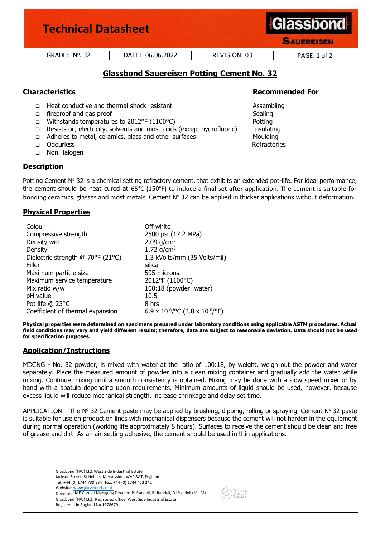| <b>Technical Datasheet</b> |                  |              | <b>Glassbond</b><br><b>SAUEREISEN</b> |
|----------------------------|------------------|--------------|---------------------------------------|
| $GRADE: No$ . 32           | DATE: 06.06.2022 | REVISION: 03 | PAGE: 1 of 2                          |
|                            |                  |              |                                       |

# **Glassbond Sauereisen Potting Cement No. 32**

- ❑ Heat conductive and thermal shock resistant Assembling
- ❑ fireproof and gas proof Sealing
- ❑ Withstands temperatures to 2012°F (1100°C) Potting
- ❑ Resists oil, electricity, solvents and most acids (except hydrofluoric) Insulating
- ❑ Adheres to metal, ceramics, glass and other surfaces Moulding
- ❑ Odourless Refractories
- ❑ Non Halogen

## **Description**

Potting Cement  $N^{\circ}$  32 is a chemical setting refractory cement, that exhibits an extended pot-life. For ideal performance, the cement should be heat cured at 65°C (150°F) to induce a final set after application. The cement is suitable for bonding ceramics, glasses and most metals. Cement  $N^{\circ}$  32 can be applied in thicker applications without deformation.

## **Physical Properties**

| Colour                            | Off white                                 |  |
|-----------------------------------|-------------------------------------------|--|
| Compressive strength              | 2500 psi (17.2 MPa)                       |  |
| Density wet                       | 2.09 $g/cm^3$                             |  |
| Density                           | 1.72 $g/cm^3$                             |  |
| Dielectric strength @ 70°F (21°C) | 1.3 kVolts/mm (35 Volts/mil)              |  |
| Filler                            | silica                                    |  |
| Maximum particle size             | 595 microns                               |  |
| Maximum service temperature       | 2012°F (1100°C)                           |  |
| Mix ratio w/w                     | 100:18 (powder: water)                    |  |
| pH value                          | 10.5                                      |  |
| Pot life @ 23°C                   | 8 hrs                                     |  |
| Coefficient of thermal expansion  | 6.9 x $10^{-6}$ /°C (3.8 x $10^{-6}$ /°F) |  |

**Physical properties were determined on specimens prepared under laboratory conditions using applicable ASTM procedures. Actual field conditions may vary and yield different results; therefore, data are subject to reasonable deviation. Data should not be used for specification purposes.**

## **Application/Instructions**

MIXING - No. 32 powder, is mixed with water at the ratio of 100:18, by weight. weigh out the powder and water separately. Place the measured amount of powder into a clean mixing container and gradually add the water while mixing. Continue mixing until a smooth consistency is obtained. Mixing may be done with a slow speed mixer or by hand with a spatula depending upon requirements. Minimum amounts of liquid should be used, however, because excess liquid will reduce mechanical strength, increase shrinkage and delay set time.

APPLICATION – The Nº 32 Cement paste may be applied by brushing, dipping, rolling or spraying. Cement Nº 32 paste is suitable for use on production lines with mechanical dispensers because the cement will not harden in the equipment during normal operation (working life approximately 8 hours). Surfaces to receive the cement should be clean and free of grease and dirt. As an air-setting adhesive, the cement should be used in thin applications.

Glassbond (NW) Ltd, West Side Industrial Estate, Jackson Street, St Helens, Merseyside, WA9 3AT, England Tel: +44 (0) 1744 730 334 Fax: +44 (0) 1744 453 242 Website: www.glassbond.co.uk Directors: ME Cordell Managing Director, PJ Randell, RJ Randell, DJ Randell (M.I.M) Glassbond (NW) Ltd. Registered office: West Side Industrial Estate Registered in England No 1378679

# **Characteristics Recommended For**